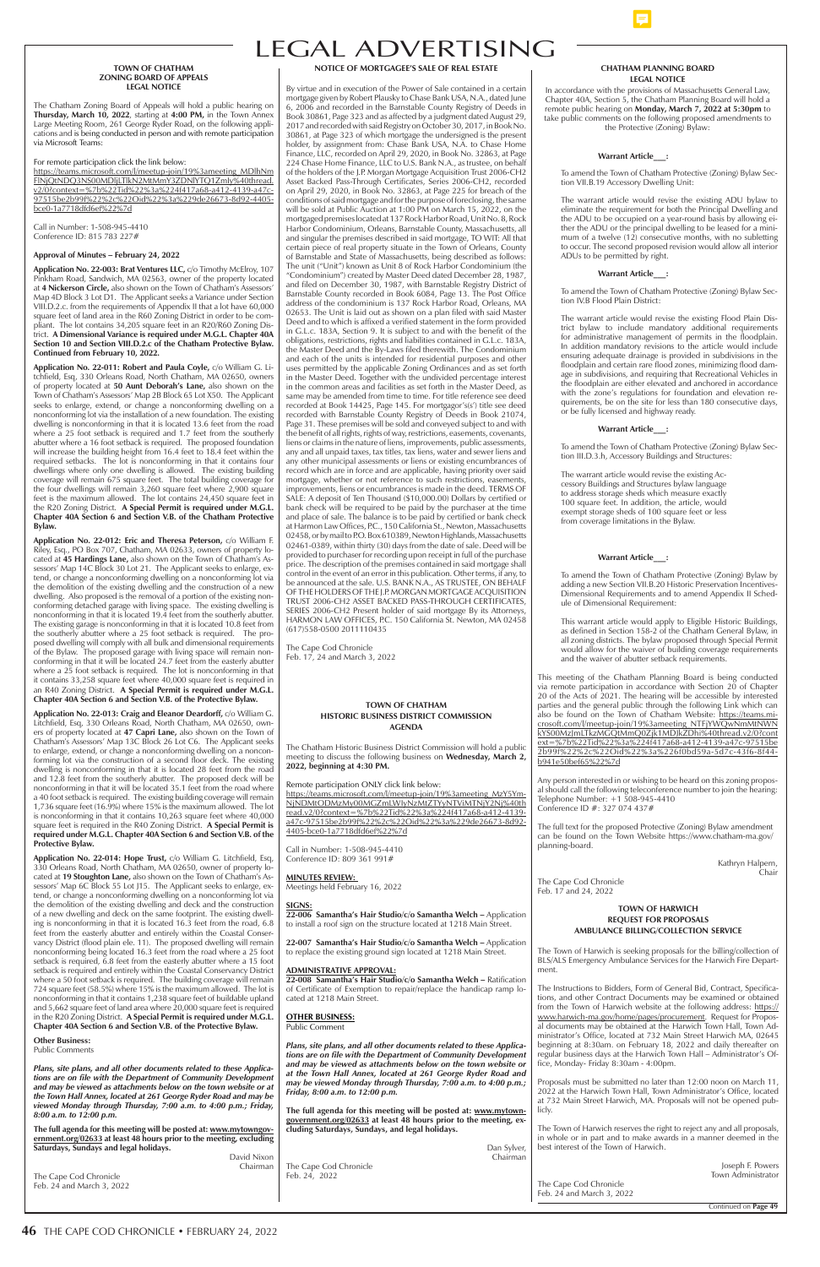# LEGAL ADVERTISING

Continued on **Page 49**

**NOTICE OF MORTGAGEE'S SALE OF REAL ESTATE** 

By virtue and in execution of the Power of Sale contained in a certain mortgage given by Robert Plausky to Chase Bank USA, N.A., dated June 6, 2006 and recorded in the Barnstable County Registry of Deeds in Book 30861, Page 323 and as affected by a judgment dated August 29, 2017 and recorded with said Registry on October 30, 2017, in Book No. 30861, at Page 323 of which mortgage the undersigned is the present holder, by assignment from: Chase Bank USA, N.A. to Chase Home Finance, LLC, recorded on April 29, 2020, in Book No. 32863, at Page 224 Chase Home Finance, LLC to U.S. Bank N.A., as trustee, on behalf of the holders of the J.P. Morgan Mortgage Acquisition Trust 2006-CH2 Asset Backed Pass-Through Certificates, Series 2006-CH2, recorded on April 29, 2020, in Book No. 32863, at Page 225 for breach of the conditions of said mortgage and for the purpose of foreclosing, the same will be sold at Public Auction at 1:00 PM on March 15, 2022, on the mortgaged premises located at 137 Rock Harbor Road, Unit No. 8, Rock Harbor Condominium, Orleans, Barnstable County, Massachusetts, all and singular the premises described in said mortgage, TO WIT: All that certain piece of real property situate in the Town of Orleans, County of Barnstable and State of Massachusetts, being described as follows: The unit ("Unit") known as Unit 8 of Rock Harbor Condominium (the "Condominium") created by Master Deed dated December 28, 1987, and filed on December 30, 1987, with Barnstable Registry District of Barnstable County recorded in Book 6084, Page 13. The Post Office address of the condominium is 137 Rock Harbor Road, Orleans, MA 02653. The Unit is laid out as shown on a plan filed with said Master Deed and to which is affixed a verified statement in the form provided in G.L.c. 183A, Section 9. It is subject to and with the benefit of the obligations, restrictions, rights and liabilities contained in G.L.c. 183A, the Master Deed and the By-Laws filed therewith. The Condominium and each of the units is intended for residential purposes and other uses permitted by the applicable Zoning Ordinances and as set forth in the Master Deed. Together with the undivided percentage interest in the common areas and facilities as set forth in the Master Deed, as same may be amended from time to time. For title reference see deed recorded at Book 14425, Page 145. For mortgagor's(s') title see deed recorded with Barnstable County Registry of Deeds in Book 21074, Page 31. These premises will be sold and conveyed subject to and with the benefit of all rights, rights of way, restrictions, easements, covenants, liens or claims in the nature of liens, improvements, public assessments, any and all unpaid taxes, tax titles, tax liens, water and sewer liens and any other municipal assessments or liens or existing encumbrances of record which are in force and are applicable, having priority over said mortgage, whether or not reference to such restrictions, easements, improvements, liens or encumbrances is made in the deed. TERMS OF SALE: A deposit of Ten Thousand (\$10,000.00) Dollars by certified or bank check will be required to be paid by the purchaser at the time and place of sale. The balance is to be paid by certified or bank check at Harmon Law Offices, P.C., 150 California St., Newton, Massachusetts 02458, or by mail to P.O. Box 610389, Newton Highlands, Massachusetts 02461-0389, within thirty (30) days from the date of sale. Deed will be provided to purchaser for recording upon receipt in full of the purchase price. The description of the premises contained in said mortgage shall control in the event of an error in this publication. Other terms, if any, to be announced at the sale. U.S. BANK N.A., AS TRUSTEE, ON BEHALF OF THE HOLDERS OF THE J.P. MORGAN MORTGAGE ACQUISITION TRUST 2006-CH2 ASSET BACKED PASS-THROUGH CERTIFICATES, SERIES 2006-CH2 Present holder of said mortgage By its Attorneys, HARMON LAW OFFICES, P.C. 150 California St. Newton, MA 02458 (617)558-0500 2011110435

The Cape Cod Chronicle Feb. 17, 24 and March 3, 2022

### **CHATHAM PLANNING BOARD LEGAL NOTICE**

In accordance with the provisions of Massachusetts General Law, Chapter 40A, Section 5, the Chatham Planning Board will hold a remote public hearing on **Monday, March 7, 2022 at 5:30pm** to take public comments on the following proposed amendments to the Protective (Zoning) Bylaw:

#### **Warrant Article\_\_\_:**

To amend the Town of Chatham Protective (Zoning) Bylaw Section VII.B.19 Accessory Dwelling Unit:

The warrant article would revise the existing ADU bylaw to eliminate the requirement for both the Principal Dwelling and the ADU to be occupied on a year-round basis by allowing either the ADU or the principal dwelling to be leased for a minimum of a twelve (12) consecutive months, with no subletting to occur. The second proposed revision would allow all interior ADUs to be permitted by right.

#### **Warrant Article\_\_\_:**

To amend the Town of Chatham Protective (Zoning) Bylaw Section IV.B Flood Plain District:

The warrant article would revise the existing Flood Plain District bylaw to include mandatory additional requirements for administrative management of permits in the floodplain. In addition mandatory revisions to the article would include ensuring adequate drainage is provided in subdivisions in the floodplain and certain rare flood zones, minimizing flood damage in subdivisions, and requiring that Recreational Vehicles in the floodplain are either elevated and anchored in accordance with the zone's regulations for foundation and elevation requirements, be on the site for less than 180 consecutive days, or be fully licensed and highway ready.

### **Warrant Article\_\_\_:**

To amend the Town of Chatham Protective (Zoning) Bylaw Section III.D.3.h, Accessory Buildings and Structures:

The warrant article would revise the existing Accessory Buildings and Structures bylaw language to address storage sheds which measure exactly 100 square feet. In addition, the article, would exempt storage sheds of 100 square feet or less from coverage limitations in the Bylaw.

#### **Warrant Article\_\_\_:**

To amend the Town of Chatham Protective (Zoning) Bylaw by adding a new Section VII.B.20 Historic Preservation Incentives-Dimensional Requirements and to amend Appendix II Schedule of Dimensional Requirement:

This warrant article would apply to Eligible Historic Buildings, as defined in Section 158-2 of the Chatham General Bylaw, in all zoning districts. The bylaw proposed through Special Permit would allow for the waiver of building coverage requirements and the waiver of abutter setback requirements.

This meeting of the Chatham Planning Board is being conducted via remote participation in accordance with Section 20 of Chapter 20 of the Acts of 2021. The hearing will be accessible by interested parties and the general public through the following Link which can also be found on the Town of Chatham Website: https://teams.microsoft.com/l/meetup-join/19%3ameeting\_NTFjYWQwNmMtNWN kYS00MzJmLTkzMGQtMmQ0Zjk1MDJkZDhi%40thread.v2/0?cont ext=%7b%22Tid%22%3a%224f417a68-a412-4139-a47c-97515be 2b99f%22%2c%22Oid%22%3a%226f0bd59a-5d7c-43f6-8f44 b941e50bef65%22%7d

Any person interested in or wishing to be heard on this zoning proposal should call the following teleconference number to join the hearing: Telephone Number: +1 508-945-4410 Conference ID #: 327 074 437#

The full text for the proposed Protective (Zoning) Bylaw amendment can be found on the Town Website https://www.chatham-ma.gov/ planning-board.

> Kathryn Halpern, Chair

The Cape Cod Chronicle Feb. 17 and 24, 2022

#### **TOWN OF CHATHAM ZONING BOARD OF APPEALS LEGAL NOTICE**

The Chatham Zoning Board of Appeals will hold a public hearing on **Thursday, March 10, 2022**, starting at **4:00 PM,** in the Town Annex Large Meeting Room, 261 George Ryder Road, on the following applications and is being conducted in person and with remote participation via Microsoft Teams:

For remote participation click the link below:

https://teams.microsoft.com/l/meetup-join/19%3ameeting\_MDlhNm FlNjQtNDQ3NS00MDljLTlkN2MtMmY3ZDNlYTQ1ZmIy%40thread. v2/0?context=%7b%22Tid%22%3a%224f417a68-a412-4139-a47c-97515be2b99f%22%2c%22Oid%22%3a%229de26673-8d92-4405 bce0-1a7718dfd6ef%22%7d

Call in Number: 1-508-945-4410 Conference ID: 815 783 227#

### **Approval of Minutes – February 24, 2022**

**Application No. 22-003: Brat Ventures LLC,** c/o Timothy McElroy, 107 Pinkham Road, Sandwich, MA 02563, owner of the property located at **4 Nickerson Circle,** also shown on the Town of Chatham's Assessors' Map 4D Block 3 Lot D1. The Applicant seeks a Variance under Section VIII.D.2.c. from the requirements of Appendix II that a lot have 60,000 square feet of land area in the R60 Zoning District in order to be compliant. The lot contains 34,205 square feet in an R20/R60 Zoning District. **A Dimensional Variance is required under M.G.L. Chapter 40A Section 10 and Section VIII.D.2.c of the Chatham Protective Bylaw. Continued from February 10, 2022.** 

**Application No. 22-011: Robert and Paula Coyle,** c/o William G. Litchfield, Esq, 330 Orleans Road, North Chatham, MA 02650, owners of property located at **50 Aunt Deborah's Lane,** also shown on the Town of Chatham's Assessors' Map 2B Block 65 Lot X50. The Applicant seeks to enlarge, extend, or change a nonconforming dwelling on a nonconforming lot via the installation of a new foundation. The existing dwelling is nonconforming in that it is located 13.6 feet from the road where a 25 foot setback is required and 1.7 feet from the southerly abutter where a 16 foot setback is required. The proposed foundation will increase the building height from 16.4 feet to 18.4 feet within the required setbacks. The lot is nonconforming in that it contains four dwellings where only one dwelling is allowed. The existing building coverage will remain 675 square feet. The total building coverage for the four dwellings will remain 3,260 square feet where 2,900 square feet is the maximum allowed. The lot contains 24,450 square feet in the R20 Zoning District. **A Special Permit is required under M.G.L. Chapter 40A Section 6 and Section V.B. of the Chatham Protective Bylaw.**

**Application No. 22-012: Eric and Theresa Peterson,** c/o William F. Riley, Esq., PO Box 707, Chatham, MA 02633, owners of property located at **45 Hardings Lane,** also shown on the Town of Chatham's Assessors' Map 14C Block 30 Lot 21. The Applicant seeks to enlarge, extend, or change a nonconforming dwelling on a nonconforming lot via the demolition of the existing dwelling and the construction of a new dwelling. Also proposed is the removal of a portion of the existing nonconforming detached garage with living space. The existing dwelling is nonconforming in that it is located 19.4 feet from the southerly abutter. The existing garage is nonconforming in that it is located 10.8 feet from the southerly abutter where a 25 foot setback is required. The proposed dwelling will comply with all bulk and dimensional requirements of the Bylaw. The proposed garage with living space will remain nonconforming in that it will be located 24.7 feet from the easterly abutter where a 25 foot setback is required. The lot is nonconforming in that it contains 33,258 square feet where 40,000 square feet is required in an R40 Zoning District. **A Special Permit is required under M.G.L. Chapter 40A Section 6 and Section V.B. of the Protective Bylaw.** 

**Application No. 22-013: Craig and Eleanor Deardorff,** c/o William G. Litchfield, Esq, 330 Orleans Road, North Chatham, MA 02650, owners of property located at **47 Capri Lane,** also shown on the Town of Chatham's Assessors' Map 13C Block 26 Lot C6. The Applicant seeks to enlarge, extend, or change a nonconforming dwelling on a nonconforming lot via the construction of a second floor deck. The existing dwelling is nonconforming in that it is located 28 feet from the road and 12.8 feet from the southerly abutter. The proposed deck will be nonconforming in that it will be located 35.1 feet from the road where a 40 foot setback is required. The existing building coverage will remain 1,736 square feet (16.9%) where 15% is the maximum allowed. The lot is nonconforming in that it contains 10,263 square feet where 40,000 square feet is required in the R40 Zoning District. **A Special Permit is required under M.G.L. Chapter 40A Section 6 and Section V.B. of the Protective Bylaw.** 

**Application No. 22-014: Hope Trust,** c/o William G. Litchfield, Esq, 330 Orleans Road, North Chatham, MA 02650, owner of property located at **19 Stoughton Lane,** also shown on the Town of Chatham's Assessors' Map 6C Block 55 Lot J15. The Applicant seeks to enlarge, extend, or change a nonconforming dwelling on a nonconforming lot via the demolition of the existing dwelling and deck and the construction of a new dwelling and deck on the same footprint. The existing dwelling is nonconforming in that it is located 16.3 feet from the road, 6.8 feet from the easterly abutter and entirely within the Coastal Conservancy District (flood plain ele. 11). The proposed dwelling will remain nonconforming being located 16.3 feet from the road where a 25 foot setback is required, 6.8 feet from the easterly abutter where a 15 foot setback is required and entirely within the Coastal Conservancy District where a 50 foot setback is required. The building coverage will remain 724 square feet (58.5%) where 15% is the maximum allowed. The lot is nonconforming in that it contains 1,238 square feet of buildable upland and 5,662 square feet of land area where 20,000 square feet is required in the R20 Zoning District. **A Special Permit is required under M.G.L. Chapter 40A Section 6 and Section V.B. of the Protective Bylaw.** 

#### **Other Business:** Public Comments

*Plans, site plans, and all other documents related to these Applications are on file with the Department of Community Development and may be viewed as attachments below on the town website or at the Town Hall Annex, located at 261 George Ryder Road and may be viewed Monday through Thursday, 7:00 a.m. to 4:00 p.m.; Friday, 8:00 a.m. to 12:00 p.m.*

**The full agenda for this meeting will be posted at: www.mytowngovernment.org/02633 at least 48 hours prior to the meeting, excluding Saturdays, Sundays and legal holidays.**

David Nixon Chairman

The Cape Cod Chronicle Feb. 24 and March 3, 2022

# **TOWN OF CHATHAM HISTORIC BUSINESS DISTRICT COMMISSION AGENDA**

The Chatham Historic Business District Commission will hold a public meeting to discuss the following business on **Wednesday, March 2, 2022, beginning at 4:30 PM.**

Remote participation ONLY click link below: https://teams.microsoft.com/l/meetup-join/19%3ameeting\_MzY5Ym-NjNDMtODMzMy00MGZmLWIyNzMtZTYyNTViMTNjY2Nj%40th read.v2/0?context=%7b%22Tid%22%3a%224f417a68-a412-4139 a47c-97515be2b99f%22%2c%22Oid%22%3a%229de26673-8d92- 4405-bce0-1a7718dfd6ef%22%7d

Call in Number: 1-508-945-4410 Conference ID: 809 361 991#

# **MINUTES REVIEW:**

Meetings held February 16, 2022

# **SIGNS:**

**22-006 Samantha's Hair Studio/c/o Samantha Welch –** Application to install a roof sign on the structure located at 1218 Main Street.

**22-007 Samantha's Hair Studio/c/o Samantha Welch –** Application to replace the existing ground sign located at 1218 Main Street.

# **ADMINISTRATIVE APPROVAL:**

**22-008 Samantha's Hair Studio/c/o Samantha Welch –** Ratification of Certificate of Exemption to repair/replace the handicap ramp located at 1218 Main Street.

#### **OTHER BUSINESS:** Public Comment

*Plans, site plans, and all other documents related to these Applications are on file with the Department of Community Development and may be viewed as attachments below on the town website or at the Town Hall Annex, located at 261 George Ryder Road and may be viewed Monday through Thursday, 7:00 a.m. to 4:00 p.m.; Friday, 8:00 a.m. to 12:00 p.m.*

**The full agenda for this meeting will be posted at: www.mytowngovernment.org/02633 at least 48 hours prior to the meeting, excluding Saturdays, Sundays, and legal holidays.**

> Dan Sylver, Chairman

The Cape Cod Chronicle Feb. 24, 2022

**TOWN OF HARWICH REQUEST FOR PROPOSALS AMBULANCE BILLING/COLLECTION SERVICE**

The Town of Harwich is seeking proposals for the billing/collection of BLS/ALS Emergency Ambulance Services for the Harwich Fire Department.

The Instructions to Bidders, Form of General Bid, Contract, Specifications, and other Contract Documents may be examined or obtained from the Town of Harwich website at the following address: https:// www.harwich-ma.gov/home/pages/procurement. Request for Proposal documents may be obtained at the Harwich Town Hall, Town Administrator's Office, located at 732 Main Street Harwich MA, 02645 beginning at 8:30am. on February 18, 2022 and daily thereafter on regular business days at the Harwich Town Hall – Administrator's Office, Monday- Friday 8:30am - 4:00pm.

Proposals must be submitted no later than 12:00 noon on March 11, 2022 at the Harwich Town Hall, Town Administrator's Office, located at 732 Main Street Harwich, MA. Proposals will not be opened publicly.

The Town of Harwich reserves the right to reject any and all proposals, in whole or in part and to make awards in a manner deemed in the best interest of the Town of Harwich.

> Joseph F. Powers Town Administrator

The Cape Cod Chronicle Feb. 24 and March 3, 2022